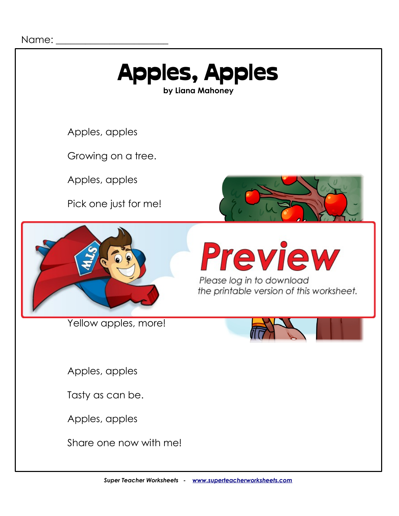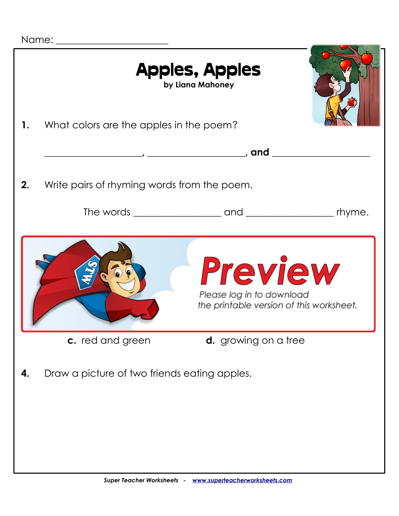|  | Name: |
|--|-------|
|  |       |

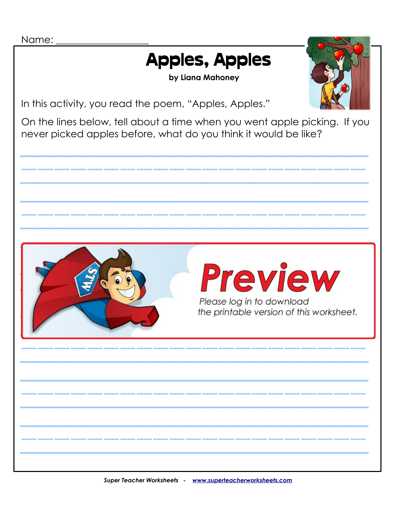## Apples, Apples

 **by Liana Mahoney**



In this activity, you read the poem, "Apples, Apples."

On the lines below, tell about a time when you went apple picking. If you never picked apples before, what do you think it would be like?

/////////////////////

/////////////////////